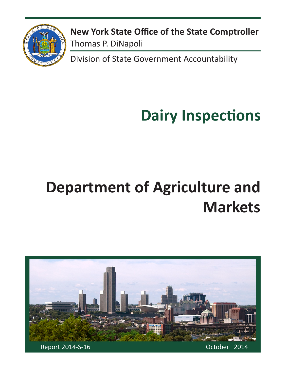

**New York State Office of the State Comptroller** Thomas P. DiNapoli

Division of State Government Accountability

# **Dairy Inspections**

# **Department of Agriculture and Markets**

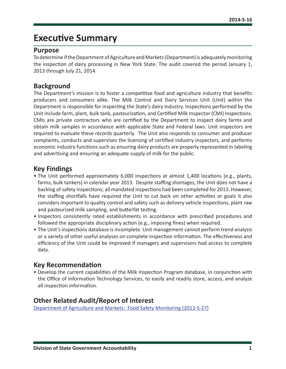## **Executive Summary**

#### **Purpose**

To determine if the Department of Agriculture and Markets (Department) is adequately monitoring the inspection of dairy processing in New York State. The audit covered the period January 1, 2013 through July 21, 2014.

#### **Background**

The Department's mission is to foster a competitive food and agriculture industry that benefits producers and consumers alike. The Milk Control and Dairy Services Unit (Unit) within the Department is responsible for inspecting the State's dairy industry. Inspections performed by the Unit include farm, plant, bulk tank, pasteurization, and Certified Milk Inspector (CMI) inspections. CMIs are private contractors who are certified by the Department to inspect dairy farms and obtain milk samples in accordance with applicable State and Federal laws. Unit inspectors are required to evaluate these records quarterly. The Unit also responds to consumer and producer complaints, conducts and supervises the licensing of certified industry inspectors, and performs economic industry functions such as ensuring dairy products are properly represented in labeling and advertising and ensuring an adequate supply of milk for the public.

#### **Key Findings**

- The Unit performed approximately 6,000 inspections at almost 1,400 locations (e.g., plants, farms, bulk tankers) in calendar year 2013. Despite staffing shortages, the Unit does not have a backlog of safety inspections; all mandated inspections had been completed for 2013. However, the staffing shortfalls have required the Unit to cut back on other activities or goals it also considers important to quality control and safety such as delivery vehicle inspections, plant raw and pasteurized milk sampling, and butterfat testing.
- Inspectors consistently rated establishments in accordance with prescribed procedures and followed the appropriate disciplinary action (e.g., imposing fines) when required.
- The Unit's inspections database is incomplete. Unit management cannot perform trend analysis or a variety of other useful analyses on complete inspection information. The effectiveness and efficiency of the Unit could be improved if managers and supervisors had access to complete data.

#### **Key Recommendation**

• Develop the current capabilities of the Milk Inspection Program database, in conjunction with the Office of Information Technology Services, to easily and readily store, access, and analyze all inspection information.

#### **Other Related Audit/Report of Interest**

[Department of Agriculture and Markets: Food Safety Monitoring \(2013-S-27\)](http://osc.state.ny.us/audits/allaudits/093014/13s27.pdf)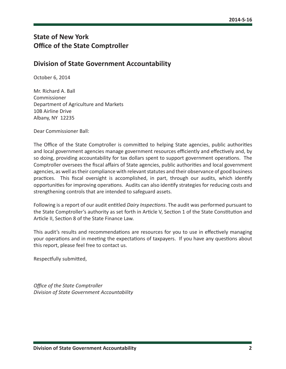#### **State of New York Office of the State Comptroller**

#### **Division of State Government Accountability**

October 6, 2014

Mr. Richard A. Ball Commissioner Department of Agriculture and Markets 10B Airline Drive Albany, NY 12235

Dear Commissioner Ball:

The Office of the State Comptroller is committed to helping State agencies, public authorities and local government agencies manage government resources efficiently and effectively and, by so doing, providing accountability for tax dollars spent to support government operations. The Comptroller oversees the fiscal affairs of State agencies, public authorities and local government agencies, as well as their compliance with relevant statutes and their observance of good business practices. This fiscal oversight is accomplished, in part, through our audits, which identify opportunities for improving operations. Audits can also identify strategies for reducing costs and strengthening controls that are intended to safeguard assets.

Following is a report of our audit entitled *Dairy Inspections*. The audit was performed pursuant to the State Comptroller's authority as set forth in Article V, Section 1 of the State Constitution and Article II, Section 8 of the State Finance Law.

This audit's results and recommendations are resources for you to use in effectively managing your operations and in meeting the expectations of taxpayers. If you have any questions about this report, please feel free to contact us.

Respectfully submitted,

*Office of the State Comptroller Division of State Government Accountability*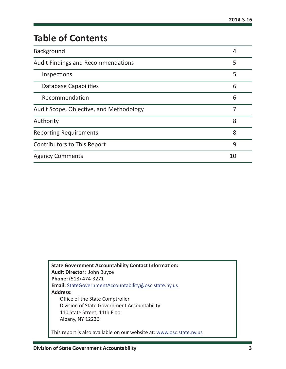# **Table of Contents**

| Background                                | 4  |
|-------------------------------------------|----|
| <b>Audit Findings and Recommendations</b> | 5  |
| Inspections                               | 5  |
| <b>Database Capabilities</b>              | 6  |
| Recommendation                            | 6  |
| Audit Scope, Objective, and Methodology   |    |
| Authority                                 | 8  |
| <b>Reporting Requirements</b>             | 8  |
| <b>Contributors to This Report</b>        | 9  |
| <b>Agency Comments</b>                    | 10 |

| <b>State Government Accountability Contact Information:</b><br><b>Audit Director: John Buyce</b> |
|--------------------------------------------------------------------------------------------------|
| Phone: (518) 474-3271                                                                            |
| Email: StateGovernmentAccountability@osc.state.ny.us                                             |
| <b>Address:</b>                                                                                  |
| Office of the State Comptroller                                                                  |
| Division of State Government Accountability                                                      |
| 110 State Street, 11th Floor                                                                     |
| Albany, NY 12236                                                                                 |
| This report is also available on our website at: www.osc.state.ny.us                             |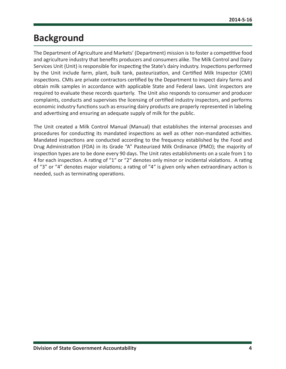## <span id="page-4-0"></span>**Background**

The Department of Agriculture and Markets' (Department) mission is to foster a competitive food and agriculture industry that benefits producers and consumers alike. The Milk Control and Dairy Services Unit (Unit) is responsible for inspecting the State's dairy industry. Inspections performed by the Unit include farm, plant, bulk tank, pasteurization, and Certified Milk Inspector (CMI) inspections. CMIs are private contractors certified by the Department to inspect dairy farms and obtain milk samples in accordance with applicable State and Federal laws. Unit inspectors are required to evaluate these records quarterly. The Unit also responds to consumer and producer complaints, conducts and supervises the licensing of certified industry inspectors, and performs economic industry functions such as ensuring dairy products are properly represented in labeling and advertising and ensuring an adequate supply of milk for the public.

The Unit created a Milk Control Manual (Manual) that establishes the internal processes and procedures for conducting its mandated inspections as well as other non-mandated activities. Mandated inspections are conducted according to the frequency established by the Food and Drug Administration (FDA) in its Grade "A" Pasteurized Milk Ordinance (PMO); the majority of inspection types are to be done every 90 days. The Unit rates establishments on a scale from 1 to 4 for each inspection. A rating of "1" or "2" denotes only minor or incidental violations. A rating of "3" or "4" denotes major violations; a rating of "4" is given only when extraordinary action is needed, such as terminating operations.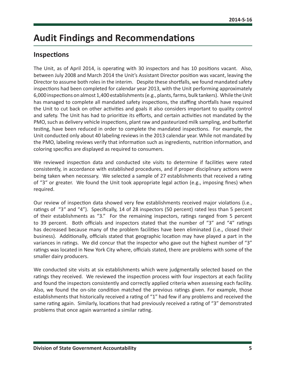## <span id="page-5-0"></span>**Audit Findings and Recommendations**

#### **Inspections**

The Unit, as of April 2014, is operating with 30 inspectors and has 10 positions vacant. Also, between July 2008 and March 2014 the Unit's Assistant Director position was vacant, leaving the Director to assume both roles in the interim. Despite these shortfalls, we found mandated safety inspections had been completed for calendar year 2013, with the Unit performing approximately 6,000 inspections on almost 1,400 establishments (e.g., plants, farms, bulk tankers). While the Unit has managed to complete all mandated safety inspections, the staffing shortfalls have required the Unit to cut back on other activities and goals it also considers important to quality control and safety. The Unit has had to prioritize its efforts, and certain activities not mandated by the PMO, such as delivery vehicle inspections, plant raw and pasteurized milk sampling, and butterfat testing, have been reduced in order to complete the mandated inspections. For example, the Unit conducted only about 40 labeling reviews in the 2013 calendar year. While not mandated by the PMO, labeling reviews verify that information such as ingredients, nutrition information, and coloring specifics are displayed as required to consumers.

We reviewed inspection data and conducted site visits to determine if facilities were rated consistently, in accordance with established procedures, and if proper disciplinary actions were being taken when necessary. We selected a sample of 27 establishments that received a rating of "3" or greater. We found the Unit took appropriate legal action (e.g., imposing fines) when required.

Our review of inspection data showed very few establishments received major violations (i.e., ratings of "3" and "4"). Specifically, 14 of 28 inspectors (50 percent) rated less than 5 percent of their establishments as "3." For the remaining inspectors, ratings ranged from 5 percent to 39 percent. Both officials and inspectors stated that the number of "3" and "4" ratings has decreased because many of the problem facilities have been eliminated (i.e., closed their business). Additionally, officials stated that geographic location may have played a part in the variances in ratings. We did concur that the inspector who gave out the highest number of "3" ratings was located in New York City where, officials stated, there are problems with some of the smaller dairy producers.

We conducted site visits at six establishments which were judgmentally selected based on the ratings they received. We reviewed the inspection process with four inspectors at each facility and found the inspectors consistently and correctly applied criteria when assessing each facility. Also, we found the on-site condition matched the previous ratings given. For example, those establishments that historically received a rating of "1" had few if any problems and received the same rating again. Similarly, locations that had previously received a rating of "3" demonstrated problems that once again warranted a similar rating.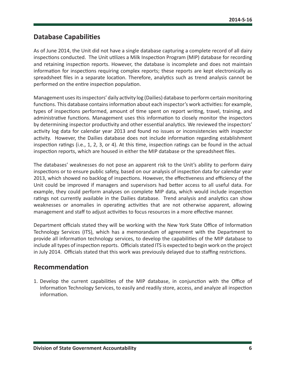#### <span id="page-6-0"></span>**Database Capabilities**

As of June 2014, the Unit did not have a single database capturing a complete record of all dairy inspections conducted. The Unit utilizes a Milk Inspection Program (MIP) database for recording and retaining inspection reports. However, the database is incomplete and does not maintain information for inspections requiring complex reports; these reports are kept electronically as spreadsheet files in a separate location. Therefore, analytics such as trend analysis cannot be performed on the entire inspection population.

Management uses its inspectors' daily activity log (Dailies) database to perform certain monitoring functions. This database contains information about each inspector's work activities: for example, types of inspections performed, amount of time spent on report writing, travel, training, and administrative functions. Management uses this information to closely monitor the inspectors by determining inspector productivity and other essential analytics. We reviewed the inspectors' activity log data for calendar year 2013 and found no issues or inconsistencies with inspector activity. However, the Dailies database does not include information regarding establishment inspection ratings (i.e., 1, 2, 3, or 4). At this time, inspection ratings can be found in the actual inspection reports, which are housed in either the MIP database or the spreadsheet files.

The databases' weaknesses do not pose an apparent risk to the Unit's ability to perform dairy inspections or to ensure public safety, based on our analysis of inspection data for calendar year 2013, which showed no backlog of inspections. However, the effectiveness and efficiency of the Unit could be improved if managers and supervisors had better access to all useful data. For example, they could perform analyses on complete MIP data, which would include inspection ratings not currently available in the Dailies database. Trend analysis and analytics can show weaknesses or anomalies in operating activities that are not otherwise apparent, allowing management and staff to adjust activities to focus resources in a more effective manner.

Department officials stated they will be working with the New York State Office of Information Technology Services (ITS), which has a memorandum of agreement with the Department to provide all information technology services, to develop the capabilities of the MIP database to include all types of inspection reports. Officials stated ITS is expected to begin work on the project in July 2014. Officials stated that this work was previously delayed due to staffing restrictions.

#### **Recommendation**

1. Develop the current capabilities of the MIP database, in conjunction with the Office of Information Technology Services, to easily and readily store, access, and analyze all inspection information.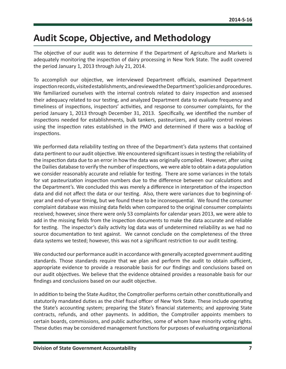## <span id="page-7-0"></span>**Audit Scope, Objective, and Methodology**

The objective of our audit was to determine if the Department of Agriculture and Markets is adequately monitoring the inspection of dairy processing in New York State. The audit covered the period January 1, 2013 through July 21, 2014.

To accomplish our objective, we interviewed Department officials, examined Department inspection records, visited establishments, and reviewed the Department's policies and procedures. We familiarized ourselves with the internal controls related to dairy inspection and assessed their adequacy related to our testing, and analyzed Department data to evaluate frequency and timeliness of inspections, inspectors' activities, and response to consumer complaints, for the period January 1, 2013 through December 31, 2013. Specifically, we identified the number of inspections needed for establishments, bulk tankers, pasteurizers, and quality control reviews using the inspection rates established in the PMO and determined if there was a backlog of inspections.

We performed data reliability testing on three of the Department's data systems that contained data pertinent to our audit objective. We encountered significant issues in testing the reliability of the inspection data due to an error in how the data was originally compiled. However, after using the Dailies database to verify the number of inspections, we were able to obtain a data population we consider reasonably accurate and reliable for testing. There are some variances in the totals for vat pasteurization inspection numbers due to the difference between our calculations and the Department's. We concluded this was merely a difference in interpretation of the inspection data and did not affect the data or our testing. Also, there were variances due to beginning-ofyear and end-of-year timing, but we found these to be inconsequential. We found the consumer complaint database was missing data fields when compared to the original consumer complaints received; however, since there were only 53 complaints for calendar years 2013, we were able to add in the missing fields from the inspection documents to make the data accurate and reliable for testing. The inspector's daily activity log data was of undetermined reliability as we had no source documentation to test against. We cannot conclude on the completeness of the three data systems we tested; however, this was not a significant restriction to our audit testing.

We conducted our performance audit in accordance with generally accepted government auditing standards. Those standards require that we plan and perform the audit to obtain sufficient, appropriate evidence to provide a reasonable basis for our findings and conclusions based on our audit objectives. We believe that the evidence obtained provides a reasonable basis for our findings and conclusions based on our audit objective.

In addition to being the State Auditor, the Comptroller performs certain other constitutionally and statutorily mandated duties as the chief fiscal officer of New York State. These include operating the State's accounting system; preparing the State's financial statements; and approving State contracts, refunds, and other payments. In addition, the Comptroller appoints members to certain boards, commissions, and public authorities, some of whom have minority voting rights. These duties may be considered management functions for purposes of evaluating organizational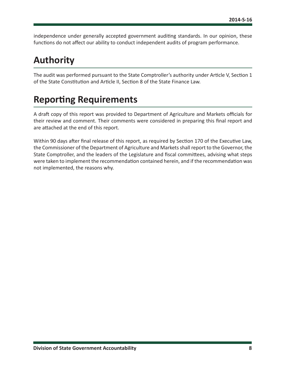<span id="page-8-0"></span>independence under generally accepted government auditing standards. In our opinion, these functions do not affect our ability to conduct independent audits of program performance.

# **Authority**

The audit was performed pursuant to the State Comptroller's authority under Article V, Section 1 of the State Constitution and Article II, Section 8 of the State Finance Law.

# **Reporting Requirements**

A draft copy of this report was provided to Department of Agriculture and Markets officials for their review and comment. Their comments were considered in preparing this final report and are attached at the end of this report.

Within 90 days after final release of this report, as required by Section 170 of the Executive Law, the Commissioner of the Department of Agriculture and Markets shall report to the Governor, the State Comptroller, and the leaders of the Legislature and fiscal committees, advising what steps were taken to implement the recommendation contained herein, and if the recommendation was not implemented, the reasons why.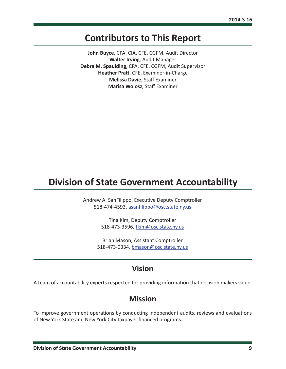### <span id="page-9-0"></span>**Contributors to This Report**

**John Buyce**, CPA, CIA, CFE, CGFM, Audit Director **Walter Irving**, Audit Manager **Debra M. Spaulding**, CPA, CFE, CGFM, Audit Supervisor **Heather Pratt**, CFE, Examiner-in-Charge **Melissa Davie**, Staff Examiner **Marisa Wolosz**, Staff Examiner

## **Division of State Government Accountability**

Andrew A. SanFilippo, Executive Deputy Comptroller 518-474-4593, [asanfilippo@osc.state.ny.us](mailto:asanfilippo%40osc.state.ny.us%0D?subject=)

> Tina Kim, Deputy Comptroller 518-473-3596, [tkim@osc.state.ny.us](mailto:tkim%40osc.state.ny.us?subject=)

Brian Mason, Assistant Comptroller 518-473-0334, [bmason@osc.state.ny.us](mailto:bmason%40osc.state.ny.us?subject=)

#### **Vision**

A team of accountability experts respected for providing information that decision makers value.

#### **Mission**

To improve government operations by conducting independent audits, reviews and evaluations of New York State and New York City taxpayer financed programs.